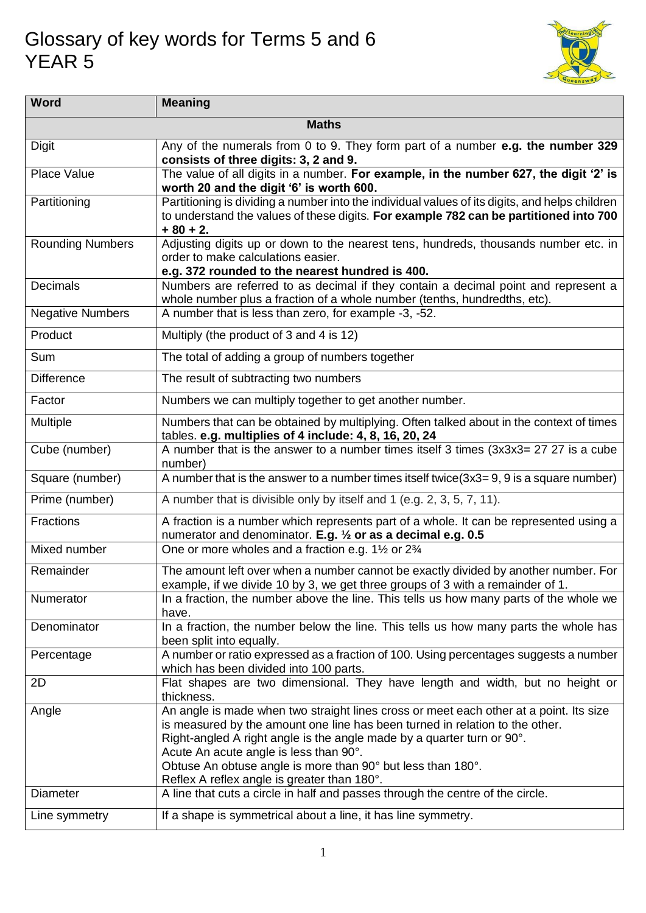## Glossary of key words for Terms 5 and 6 YEAR 5



| <b>Word</b>             | <b>Meaning</b>                                                                                                                                                                                                                                                                                                                                                                                           |  |
|-------------------------|----------------------------------------------------------------------------------------------------------------------------------------------------------------------------------------------------------------------------------------------------------------------------------------------------------------------------------------------------------------------------------------------------------|--|
| <b>Maths</b>            |                                                                                                                                                                                                                                                                                                                                                                                                          |  |
| <b>Digit</b>            | Any of the numerals from 0 to 9. They form part of a number e.g. the number 329<br>consists of three digits: 3, 2 and 9.                                                                                                                                                                                                                                                                                 |  |
| Place Value             | The value of all digits in a number. For example, in the number 627, the digit '2' is<br>worth 20 and the digit '6' is worth 600.                                                                                                                                                                                                                                                                        |  |
| Partitioning            | Partitioning is dividing a number into the individual values of its digits, and helps children<br>to understand the values of these digits. For example 782 can be partitioned into 700<br>$+80 + 2.$                                                                                                                                                                                                    |  |
| <b>Rounding Numbers</b> | Adjusting digits up or down to the nearest tens, hundreds, thousands number etc. in<br>order to make calculations easier.<br>e.g. 372 rounded to the nearest hundred is 400.                                                                                                                                                                                                                             |  |
| <b>Decimals</b>         | Numbers are referred to as decimal if they contain a decimal point and represent a<br>whole number plus a fraction of a whole number (tenths, hundredths, etc).                                                                                                                                                                                                                                          |  |
| <b>Negative Numbers</b> | A number that is less than zero, for example -3, -52.                                                                                                                                                                                                                                                                                                                                                    |  |
| Product                 | Multiply (the product of 3 and 4 is 12)                                                                                                                                                                                                                                                                                                                                                                  |  |
| Sum                     | The total of adding a group of numbers together                                                                                                                                                                                                                                                                                                                                                          |  |
| <b>Difference</b>       | The result of subtracting two numbers                                                                                                                                                                                                                                                                                                                                                                    |  |
| Factor                  | Numbers we can multiply together to get another number.                                                                                                                                                                                                                                                                                                                                                  |  |
| Multiple                | Numbers that can be obtained by multiplying. Often talked about in the context of times<br>tables. e.g. multiplies of 4 include: 4, 8, 16, 20, 24                                                                                                                                                                                                                                                        |  |
| Cube (number)           | A number that is the answer to a number times itself 3 times (3x3x3= 27 27 is a cube<br>number)                                                                                                                                                                                                                                                                                                          |  |
| Square (number)         | A number that is the answer to a number times itself twice(3x3=9,9 is a square number)                                                                                                                                                                                                                                                                                                                   |  |
| Prime (number)          | A number that is divisible only by itself and 1 (e.g. 2, 3, 5, 7, 11).                                                                                                                                                                                                                                                                                                                                   |  |
| <b>Fractions</b>        | A fraction is a number which represents part of a whole. It can be represented using a<br>numerator and denominator. E.g. 1/2 or as a decimal e.g. 0.5                                                                                                                                                                                                                                                   |  |
| Mixed number            | One or more wholes and a fraction e.g. 11/2 or 23/4                                                                                                                                                                                                                                                                                                                                                      |  |
| Remainder               | The amount left over when a number cannot be exactly divided by another number. For<br>example, if we divide 10 by 3, we get three groups of 3 with a remainder of 1.                                                                                                                                                                                                                                    |  |
| Numerator               | In a fraction, the number above the line. This tells us how many parts of the whole we<br>have.                                                                                                                                                                                                                                                                                                          |  |
| Denominator             | In a fraction, the number below the line. This tells us how many parts the whole has<br>been split into equally.                                                                                                                                                                                                                                                                                         |  |
| Percentage              | A number or ratio expressed as a fraction of 100. Using percentages suggests a number<br>which has been divided into 100 parts.                                                                                                                                                                                                                                                                          |  |
| 2D                      | Flat shapes are two dimensional. They have length and width, but no height or<br>thickness.                                                                                                                                                                                                                                                                                                              |  |
| Angle                   | An angle is made when two straight lines cross or meet each other at a point. Its size<br>is measured by the amount one line has been turned in relation to the other.<br>Right-angled A right angle is the angle made by a quarter turn or 90°.<br>Acute An acute angle is less than 90°.<br>Obtuse An obtuse angle is more than 90° but less than 180°.<br>Reflex A reflex angle is greater than 180°. |  |
| <b>Diameter</b>         | A line that cuts a circle in half and passes through the centre of the circle.                                                                                                                                                                                                                                                                                                                           |  |
| Line symmetry           | If a shape is symmetrical about a line, it has line symmetry.                                                                                                                                                                                                                                                                                                                                            |  |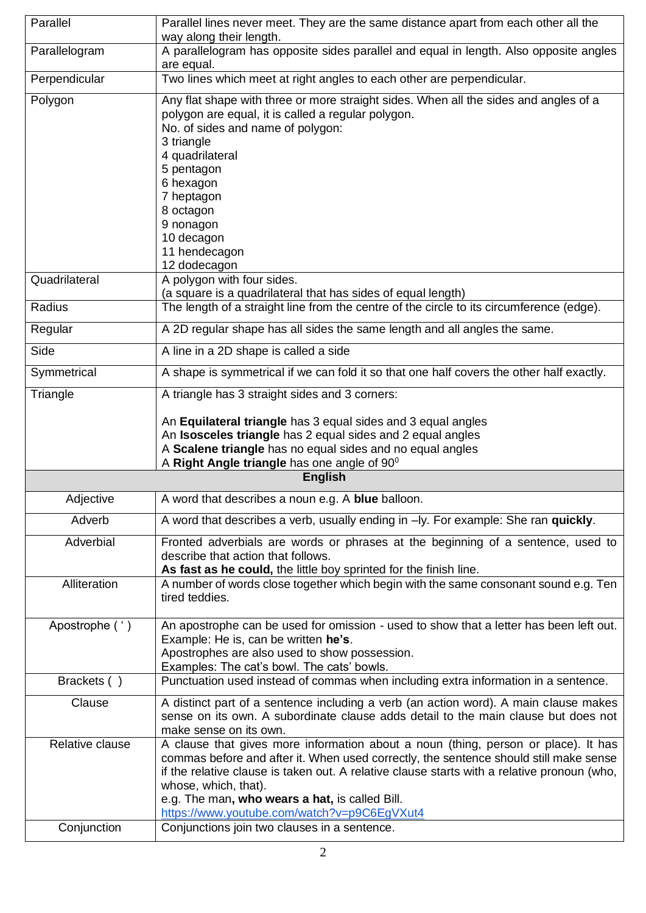| Parallel        | Parallel lines never meet. They are the same distance apart from each other all the<br>way along their length.                                                                                                                                                                                                                                                                                      |
|-----------------|-----------------------------------------------------------------------------------------------------------------------------------------------------------------------------------------------------------------------------------------------------------------------------------------------------------------------------------------------------------------------------------------------------|
| Parallelogram   | A parallelogram has opposite sides parallel and equal in length. Also opposite angles<br>are equal.                                                                                                                                                                                                                                                                                                 |
| Perpendicular   | Two lines which meet at right angles to each other are perpendicular.                                                                                                                                                                                                                                                                                                                               |
| Polygon         | Any flat shape with three or more straight sides. When all the sides and angles of a<br>polygon are equal, it is called a regular polygon.<br>No. of sides and name of polygon:<br>3 triangle<br>4 quadrilateral<br>5 pentagon<br>6 hexagon<br>7 heptagon<br>8 octagon<br>9 nonagon<br>10 decagon<br>11 hendecagon<br>12 dodecagon                                                                  |
| Quadrilateral   | A polygon with four sides.                                                                                                                                                                                                                                                                                                                                                                          |
| Radius          | (a square is a quadrilateral that has sides of equal length)<br>The length of a straight line from the centre of the circle to its circumference (edge).                                                                                                                                                                                                                                            |
|                 | A 2D regular shape has all sides the same length and all angles the same.                                                                                                                                                                                                                                                                                                                           |
| Regular         |                                                                                                                                                                                                                                                                                                                                                                                                     |
| Side            | A line in a 2D shape is called a side                                                                                                                                                                                                                                                                                                                                                               |
| Symmetrical     | A shape is symmetrical if we can fold it so that one half covers the other half exactly.                                                                                                                                                                                                                                                                                                            |
| Triangle        | A triangle has 3 straight sides and 3 corners:<br>An Equilateral triangle has 3 equal sides and 3 equal angles<br>An Isosceles triangle has 2 equal sides and 2 equal angles<br>A Scalene triangle has no equal sides and no equal angles<br>A Right Angle triangle has one angle of $90^{\circ}$                                                                                                   |
|                 | <b>English</b>                                                                                                                                                                                                                                                                                                                                                                                      |
| Adjective       | A word that describes a noun e.g. A blue balloon.                                                                                                                                                                                                                                                                                                                                                   |
| Adverb          | A word that describes a verb, usually ending in -ly. For example: She ran quickly.                                                                                                                                                                                                                                                                                                                  |
| Adverbial       | Fronted adverbials are words or phrases at the beginning of a sentence, used to<br>describe that action that follows.<br>As fast as he could, the little boy sprinted for the finish line.                                                                                                                                                                                                          |
| Alliteration    | A number of words close together which begin with the same consonant sound e.g. Ten<br>tired teddies.                                                                                                                                                                                                                                                                                               |
| Apostrophe (')  | An apostrophe can be used for omission - used to show that a letter has been left out.<br>Example: He is, can be written he's.<br>Apostrophes are also used to show possession.<br>Examples: The cat's bowl. The cats' bowls.                                                                                                                                                                       |
| Brackets ()     | Punctuation used instead of commas when including extra information in a sentence.                                                                                                                                                                                                                                                                                                                  |
| Clause          | A distinct part of a sentence including a verb (an action word). A main clause makes<br>sense on its own. A subordinate clause adds detail to the main clause but does not<br>make sense on its own.                                                                                                                                                                                                |
| Relative clause | A clause that gives more information about a noun (thing, person or place). It has<br>commas before and after it. When used correctly, the sentence should still make sense<br>if the relative clause is taken out. A relative clause starts with a relative pronoun (who,<br>whose, which, that).<br>e.g. The man, who wears a hat, is called Bill.<br>https://www.youtube.com/watch?v=p9C6EgVXut4 |
| Conjunction     | Conjunctions join two clauses in a sentence.                                                                                                                                                                                                                                                                                                                                                        |